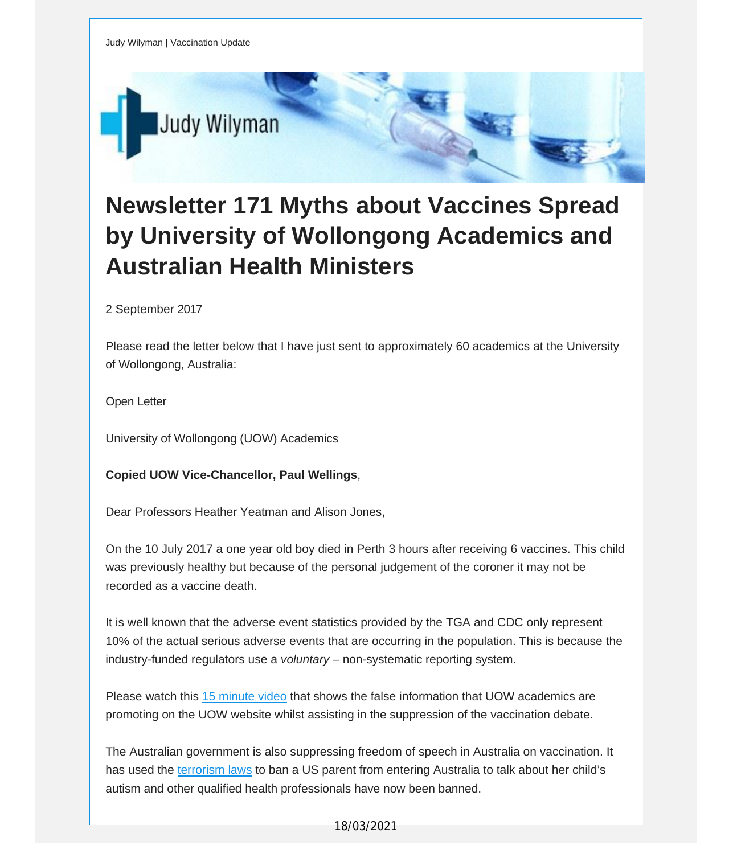

## **Newsletter 171 Myths about Vaccines Spread by University of Wollongong Academics and Australian Health Ministers**

2 September 2017

Please read the letter below that I have just sent to approximately 60 academics at the University of Wollongong, Australia:

Open Letter

University of Wollongong (UOW) Academics

## **Copied UOW Vice-Chancellor, Paul Wellings**,

Dear Professors Heather Yeatman and Alison Jones,

On the 10 July 2017 a one year old boy died in Perth 3 hours after receiving 6 vaccines. This child was previously healthy but because of the personal judgement of the coroner it may not be recorded as a vaccine death.

It is well known that the adverse event statistics provided by the TGA and CDC only represent 10% of the actual serious adverse events that are occurring in the population. This is because the industry-funded regulators use a *voluntary* – non-systematic reporting system.

Please watch this 15 [minute](http://vaccinationdecisions.us8.list-manage.com/track/click?u=f20605fde3732e41929f4a3f2&id=7be38a319d&e=fec8337d3c) video that shows the false information that UOW academics are promoting on the UOW website whilst assisting in the suppression of the vaccination debate.

The Australian government is also suppressing freedom of speech in Australia on vaccination. It has used the [terrorism](http://vaccinationdecisions.us8.list-manage.com/track/click?u=f20605fde3732e41929f4a3f2&id=dacff232dd&e=fec8337d3c) laws to ban a US parent from entering Australia to talk about her child's autism and other qualified health professionals have now been banned.

18/03/2021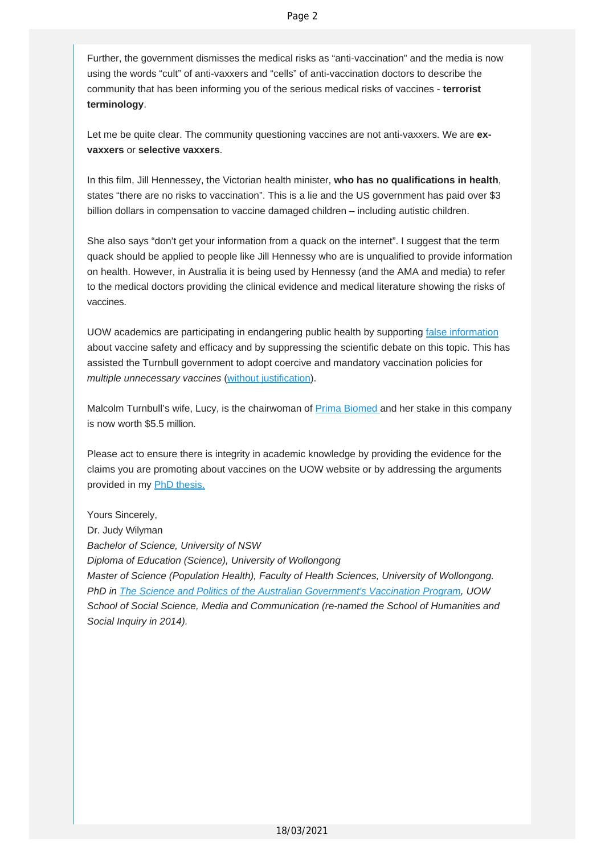Further, the government dismisses the medical risks as "anti-vaccination" and the media is now using the words "cult" of anti-vaxxers and "cells" of anti-vaccination doctors to describe the community that has been informing you of the serious medical risks of vaccines - **terrorist terminology**.

Let me be quite clear. The community questioning vaccines are not anti-vaxxers. We are **exvaxxers** or **selective vaxxers**.

In this film, Jill Hennessey, the Victorian health minister, **who has no qualifications in health**, states "there are no risks to vaccination". This is a lie and the US government has paid over \$3 billion dollars in compensation to vaccine damaged children – including autistic children.

She also says "don't get your information from a quack on the internet". I suggest that the term quack should be applied to people like Jill Hennessy who are is unqualified to provide information on health. However, in Australia it is being used by Hennessy (and the AMA and media) to refer to the medical doctors providing the clinical evidence and medical literature showing the risks of vaccines.

UOW academics are participating in endangering public health by supporting false [information](http://vaccinationdecisions.us8.list-manage.com/track/click?u=f20605fde3732e41929f4a3f2&id=5594ba6792&e=fec8337d3c) about vaccine safety and efficacy and by suppressing the scientific debate on this topic. This has assisted the Turnbull government to adopt coercive and mandatory vaccination policies for *multiple unnecessary vaccines* (without [justification\)](http://vaccinationdecisions.us8.list-manage.com/track/click?u=f20605fde3732e41929f4a3f2&id=a6794e2a06&e=fec8337d3c).

Malcolm Turnbull's wife, Lucy, is the chairwoman of **Prima [Biomed](http://vaccinationdecisions.us8.list-manage.com/track/click?u=f20605fde3732e41929f4a3f2&id=15bad784c4&e=fec8337d3c) and her stake in this company** is now worth \$5.5 million.

Please act to ensure there is integrity in academic knowledge by providing the evidence for the claims you are promoting about vaccines on the UOW website or by addressing the arguments provided in my **PhD** [thesis.](http://vaccinationdecisions.us8.list-manage.com/track/click?u=f20605fde3732e41929f4a3f2&id=a72e120cbc&e=fec8337d3c)

Yours Sincerely, Dr. Judy Wilyman *Bachelor of Science, University of NSW Diploma of Education (Science), University of Wollongong Master of Science (Population Health), Faculty of Health Sciences, University of Wollongong. PhD in The Science and Politics of the Australian [Government's](http://vaccinationdecisions.us8.list-manage.com/track/click?u=f20605fde3732e41929f4a3f2&id=d8a4be889f&e=fec8337d3c) Vaccination Program, UOW School of Social Science, Media and Communication (re-named the School of Humanities and Social Inquiry in 2014).*